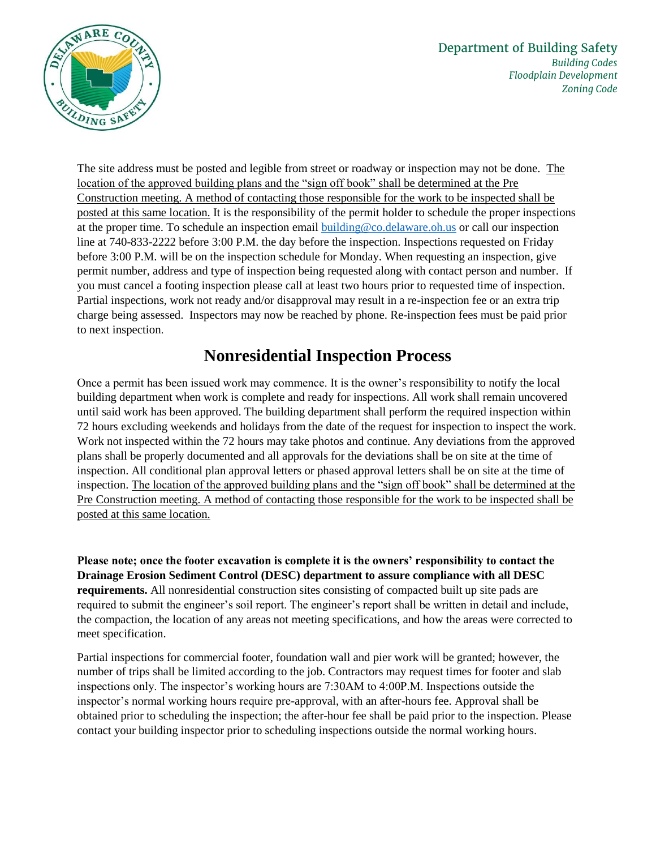

The site address must be posted and legible from street or roadway or inspection may not be done. The location of the approved building plans and the "sign off book" shall be determined at the Pre Construction meeting. A method of contacting those responsible for the work to be inspected shall be posted at this same location. It is the responsibility of the permit holder to schedule the proper inspections at the proper time. To schedule an inspection email [building@co.delaware.oh.us](mailto:building@co.delaware.oh.us) or call our inspection line at 740-833-2222 before 3:00 P.M. the day before the inspection. Inspections requested on Friday before 3:00 P.M. will be on the inspection schedule for Monday. When requesting an inspection, give permit number, address and type of inspection being requested along with contact person and number. If you must cancel a footing inspection please call at least two hours prior to requested time of inspection. Partial inspections, work not ready and/or disapproval may result in a re-inspection fee or an extra trip charge being assessed. Inspectors may now be reached by phone. Re-inspection fees must be paid prior to next inspection.

## **Nonresidential Inspection Process**

Once a permit has been issued work may commence. It is the owner's responsibility to notify the local building department when work is complete and ready for inspections. All work shall remain uncovered until said work has been approved. The building department shall perform the required inspection within 72 hours excluding weekends and holidays from the date of the request for inspection to inspect the work. Work not inspected within the 72 hours may take photos and continue. Any deviations from the approved plans shall be properly documented and all approvals for the deviations shall be on site at the time of inspection. All conditional plan approval letters or phased approval letters shall be on site at the time of inspection. The location of the approved building plans and the "sign off book" shall be determined at the Pre Construction meeting. A method of contacting those responsible for the work to be inspected shall be posted at this same location.

**Please note; once the footer excavation is complete it is the owners' responsibility to contact the Drainage Erosion Sediment Control (DESC) department to assure compliance with all DESC requirements.** All nonresidential construction sites consisting of compacted built up site pads are required to submit the engineer's soil report. The engineer's report shall be written in detail and include, the compaction, the location of any areas not meeting specifications, and how the areas were corrected to meet specification.

Partial inspections for commercial footer, foundation wall and pier work will be granted; however, the number of trips shall be limited according to the job. Contractors may request times for footer and slab inspections only. The inspector's working hours are 7:30AM to 4:00P.M. Inspections outside the inspector's normal working hours require pre-approval, with an after-hours fee. Approval shall be obtained prior to scheduling the inspection; the after-hour fee shall be paid prior to the inspection. Please contact your building inspector prior to scheduling inspections outside the normal working hours.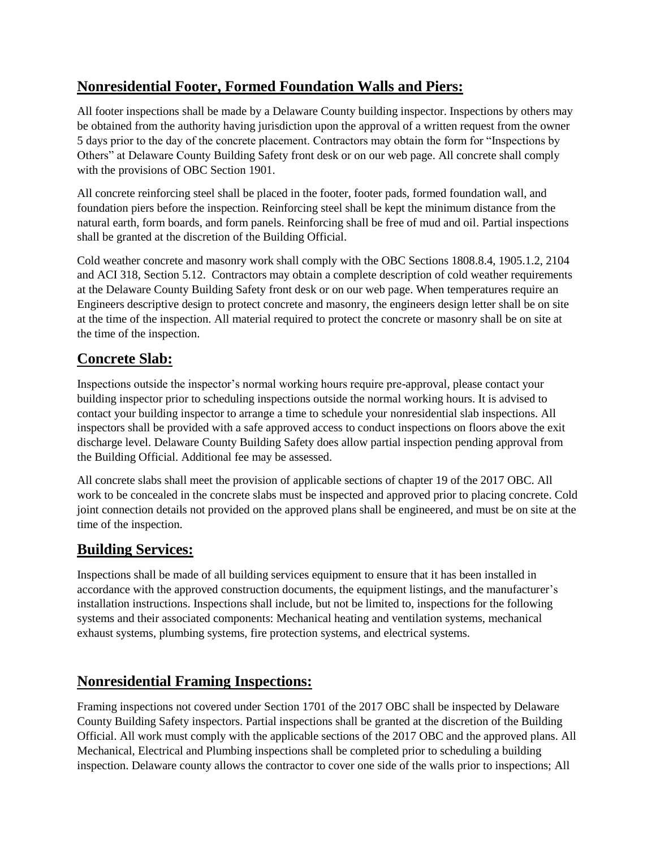## **Nonresidential Footer, Formed Foundation Walls and Piers:**

All footer inspections shall be made by a Delaware County building inspector. Inspections by others may be obtained from the authority having jurisdiction upon the approval of a written request from the owner 5 days prior to the day of the concrete placement. Contractors may obtain the form for "Inspections by Others" at Delaware County Building Safety front desk or on our web page. All concrete shall comply with the provisions of OBC Section 1901.

All concrete reinforcing steel shall be placed in the footer, footer pads, formed foundation wall, and foundation piers before the inspection. Reinforcing steel shall be kept the minimum distance from the natural earth, form boards, and form panels. Reinforcing shall be free of mud and oil. Partial inspections shall be granted at the discretion of the Building Official.

Cold weather concrete and masonry work shall comply with the OBC Sections 1808.8.4, 1905.1.2, 2104 and ACI 318, Section 5.12. Contractors may obtain a complete description of cold weather requirements at the Delaware County Building Safety front desk or on our web page. When temperatures require an Engineers descriptive design to protect concrete and masonry, the engineers design letter shall be on site at the time of the inspection. All material required to protect the concrete or masonry shall be on site at the time of the inspection.

## **Concrete Slab:**

Inspections outside the inspector's normal working hours require pre-approval, please contact your building inspector prior to scheduling inspections outside the normal working hours. It is advised to contact your building inspector to arrange a time to schedule your nonresidential slab inspections. All inspectors shall be provided with a safe approved access to conduct inspections on floors above the exit discharge level. Delaware County Building Safety does allow partial inspection pending approval from the Building Official. Additional fee may be assessed.

All concrete slabs shall meet the provision of applicable sections of chapter 19 of the 2017 OBC. All work to be concealed in the concrete slabs must be inspected and approved prior to placing concrete. Cold joint connection details not provided on the approved plans shall be engineered, and must be on site at the time of the inspection.

## **Building Services:**

Inspections shall be made of all building services equipment to ensure that it has been installed in accordance with the approved construction documents, the equipment listings, and the manufacturer's installation instructions. Inspections shall include, but not be limited to, inspections for the following systems and their associated components: Mechanical heating and ventilation systems, mechanical exhaust systems, plumbing systems, fire protection systems, and electrical systems.

## **Nonresidential Framing Inspections:**

Framing inspections not covered under Section 1701 of the 2017 OBC shall be inspected by Delaware County Building Safety inspectors. Partial inspections shall be granted at the discretion of the Building Official. All work must comply with the applicable sections of the 2017 OBC and the approved plans. All Mechanical, Electrical and Plumbing inspections shall be completed prior to scheduling a building inspection. Delaware county allows the contractor to cover one side of the walls prior to inspections; All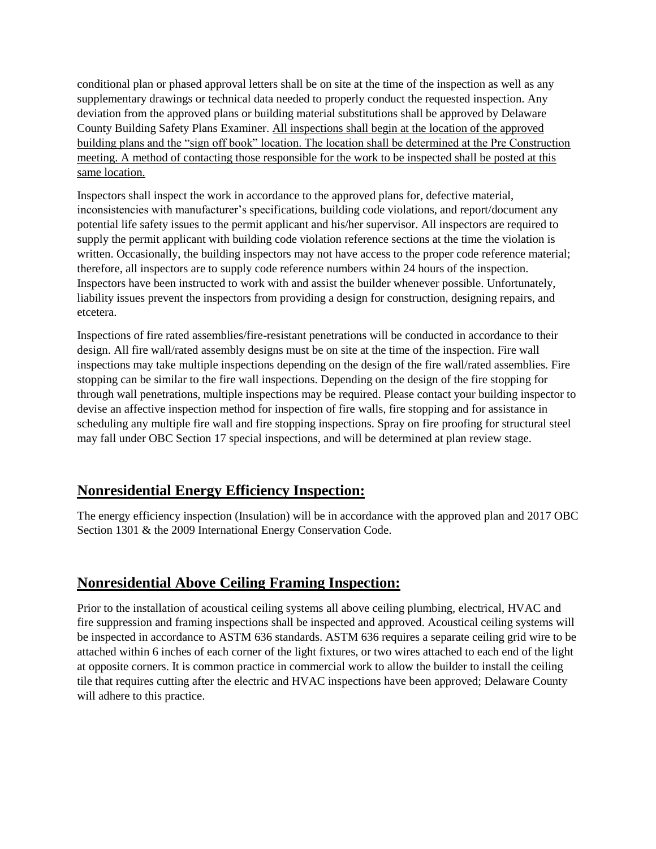conditional plan or phased approval letters shall be on site at the time of the inspection as well as any supplementary drawings or technical data needed to properly conduct the requested inspection. Any deviation from the approved plans or building material substitutions shall be approved by Delaware County Building Safety Plans Examiner. All inspections shall begin at the location of the approved building plans and the "sign off book" location. The location shall be determined at the Pre Construction meeting. A method of contacting those responsible for the work to be inspected shall be posted at this same location.

Inspectors shall inspect the work in accordance to the approved plans for, defective material, inconsistencies with manufacturer's specifications, building code violations, and report/document any potential life safety issues to the permit applicant and his/her supervisor. All inspectors are required to supply the permit applicant with building code violation reference sections at the time the violation is written. Occasionally, the building inspectors may not have access to the proper code reference material; therefore, all inspectors are to supply code reference numbers within 24 hours of the inspection. Inspectors have been instructed to work with and assist the builder whenever possible. Unfortunately, liability issues prevent the inspectors from providing a design for construction, designing repairs, and etcetera.

Inspections of fire rated assemblies/fire-resistant penetrations will be conducted in accordance to their design. All fire wall/rated assembly designs must be on site at the time of the inspection. Fire wall inspections may take multiple inspections depending on the design of the fire wall/rated assemblies. Fire stopping can be similar to the fire wall inspections. Depending on the design of the fire stopping for through wall penetrations, multiple inspections may be required. Please contact your building inspector to devise an affective inspection method for inspection of fire walls, fire stopping and for assistance in scheduling any multiple fire wall and fire stopping inspections. Spray on fire proofing for structural steel may fall under OBC Section 17 special inspections, and will be determined at plan review stage.

## **Nonresidential Energy Efficiency Inspection:**

The energy efficiency inspection (Insulation) will be in accordance with the approved plan and 2017 OBC Section 1301 & the 2009 International Energy Conservation Code.

## **Nonresidential Above Ceiling Framing Inspection:**

Prior to the installation of acoustical ceiling systems all above ceiling plumbing, electrical, HVAC and fire suppression and framing inspections shall be inspected and approved. Acoustical ceiling systems will be inspected in accordance to ASTM 636 standards. ASTM 636 requires a separate ceiling grid wire to be attached within 6 inches of each corner of the light fixtures, or two wires attached to each end of the light at opposite corners. It is common practice in commercial work to allow the builder to install the ceiling tile that requires cutting after the electric and HVAC inspections have been approved; Delaware County will adhere to this practice.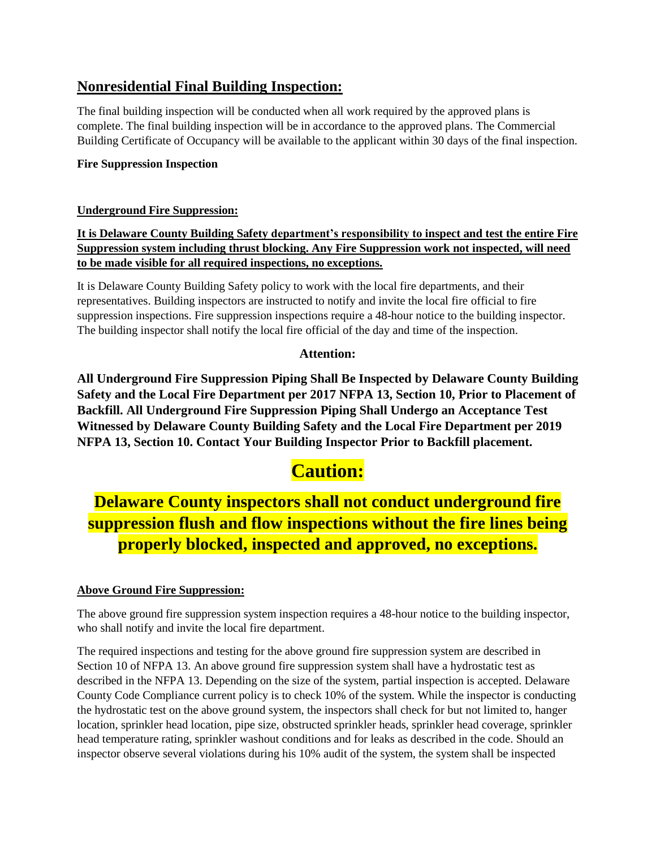## **Nonresidential Final Building Inspection:**

The final building inspection will be conducted when all work required by the approved plans is complete. The final building inspection will be in accordance to the approved plans. The Commercial Building Certificate of Occupancy will be available to the applicant within 30 days of the final inspection.

#### **Fire Suppression Inspection**

#### **Underground Fire Suppression:**

**It is Delaware County Building Safety department's responsibility to inspect and test the entire Fire Suppression system including thrust blocking. Any Fire Suppression work not inspected, will need to be made visible for all required inspections, no exceptions.**

It is Delaware County Building Safety policy to work with the local fire departments, and their representatives. Building inspectors are instructed to notify and invite the local fire official to fire suppression inspections. Fire suppression inspections require a 48-hour notice to the building inspector. The building inspector shall notify the local fire official of the day and time of the inspection.

#### **Attention:**

**All Underground Fire Suppression Piping Shall Be Inspected by Delaware County Building Safety and the Local Fire Department per 2017 NFPA 13, Section 10, Prior to Placement of Backfill. All Underground Fire Suppression Piping Shall Undergo an Acceptance Test Witnessed by Delaware County Building Safety and the Local Fire Department per 2019 NFPA 13, Section 10. Contact Your Building Inspector Prior to Backfill placement.**

## **Caution:**

## **Delaware County inspectors shall not conduct underground fire suppression flush and flow inspections without the fire lines being properly blocked, inspected and approved, no exceptions.**

#### **Above Ground Fire Suppression:**

The above ground fire suppression system inspection requires a 48-hour notice to the building inspector, who shall notify and invite the local fire department.

The required inspections and testing for the above ground fire suppression system are described in Section 10 of NFPA 13. An above ground fire suppression system shall have a hydrostatic test as described in the NFPA 13. Depending on the size of the system, partial inspection is accepted. Delaware County Code Compliance current policy is to check 10% of the system. While the inspector is conducting the hydrostatic test on the above ground system, the inspectors shall check for but not limited to, hanger location, sprinkler head location, pipe size, obstructed sprinkler heads, sprinkler head coverage, sprinkler head temperature rating, sprinkler washout conditions and for leaks as described in the code. Should an inspector observe several violations during his 10% audit of the system, the system shall be inspected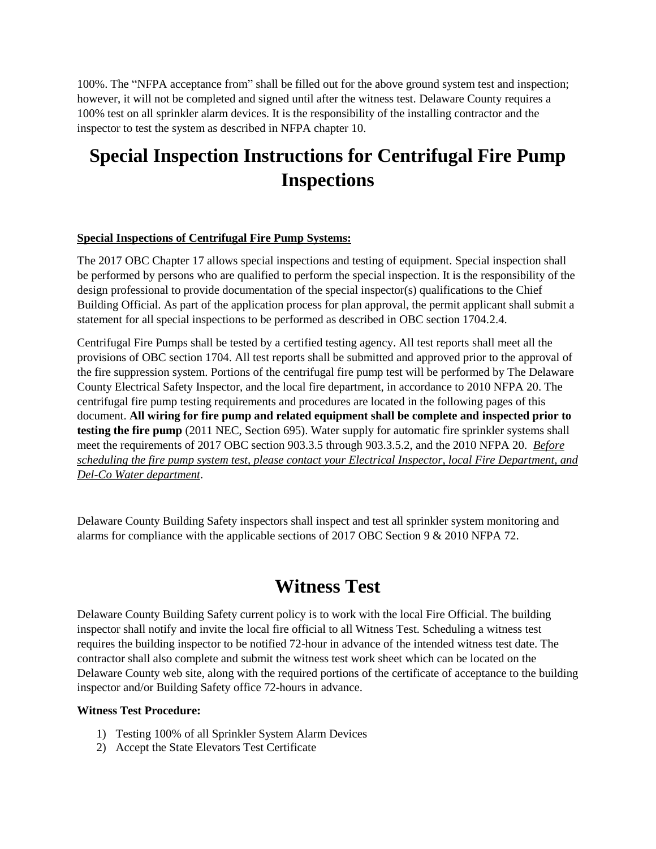100%. The "NFPA acceptance from" shall be filled out for the above ground system test and inspection; however, it will not be completed and signed until after the witness test. Delaware County requires a 100% test on all sprinkler alarm devices. It is the responsibility of the installing contractor and the inspector to test the system as described in NFPA chapter 10.

# **Special Inspection Instructions for Centrifugal Fire Pump Inspections**

#### **Special Inspections of Centrifugal Fire Pump Systems:**

The 2017 OBC Chapter 17 allows special inspections and testing of equipment. Special inspection shall be performed by persons who are qualified to perform the special inspection. It is the responsibility of the design professional to provide documentation of the special inspector(s) qualifications to the Chief Building Official. As part of the application process for plan approval, the permit applicant shall submit a statement for all special inspections to be performed as described in OBC section 1704.2.4.

Centrifugal Fire Pumps shall be tested by a certified testing agency. All test reports shall meet all the provisions of OBC section 1704. All test reports shall be submitted and approved prior to the approval of the fire suppression system. Portions of the centrifugal fire pump test will be performed by The Delaware County Electrical Safety Inspector, and the local fire department, in accordance to 2010 NFPA 20. The centrifugal fire pump testing requirements and procedures are located in the following pages of this document. **All wiring for fire pump and related equipment shall be complete and inspected prior to testing the fire pump** (2011 NEC, Section 695). Water supply for automatic fire sprinkler systems shall meet the requirements of 2017 OBC section 903.3.5 through 903.3.5.2, and the 2010 NFPA 20. *Before scheduling the fire pump system test, please contact your Electrical Inspector, local Fire Department, and Del-Co Water department*.

Delaware County Building Safety inspectors shall inspect and test all sprinkler system monitoring and alarms for compliance with the applicable sections of 2017 OBC Section 9 & 2010 NFPA 72.

## **Witness Test**

Delaware County Building Safety current policy is to work with the local Fire Official. The building inspector shall notify and invite the local fire official to all Witness Test. Scheduling a witness test requires the building inspector to be notified 72-hour in advance of the intended witness test date. The contractor shall also complete and submit the witness test work sheet which can be located on the Delaware County web site, along with the required portions of the certificate of acceptance to the building inspector and/or Building Safety office 72-hours in advance.

#### **Witness Test Procedure:**

- 1) Testing 100% of all Sprinkler System Alarm Devices
- 2) Accept the State Elevators Test Certificate